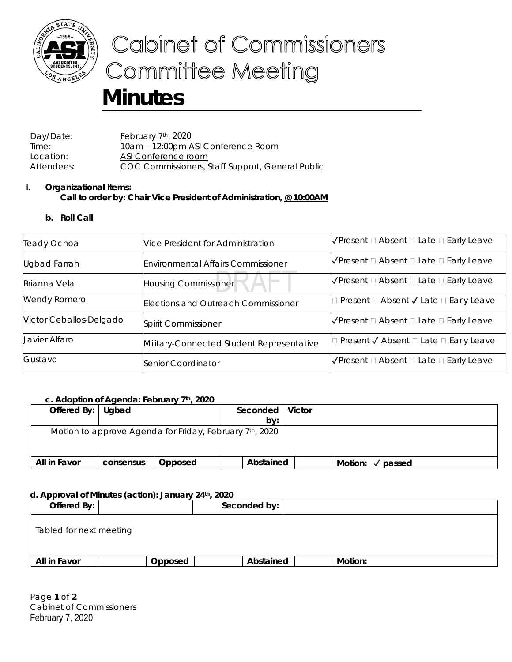

# Cabinet of Commissioners **Committee Meeting**

# **Minutes**

Day/Date: February 7<sup>th</sup>, 2020 Time: 10am - 12:00pm ASI Conference Room Location: ASI Conference room Attendees: COC Commissioners, Staff Support, General Public

# **I. Organizational Items: Call to order by: Chair Vice President of Administration, @ 10:00AM**

# **b. Roll Call**

| Teady Ochoa             | Vice President for Administration         | $\sqrt{\frac{P}{P}}$ Present $\Box$ Absent $\Box$ Late $\Box$ Early Leave |
|-------------------------|-------------------------------------------|---------------------------------------------------------------------------|
| <b>Ugbad Farrah</b>     | <b>Environmental Affairs Commissioner</b> | $\sqrt{\frac{P}{P}}$ Present $\Box$ Absent $\Box$ Late $\Box$ Early Leave |
| Brianna Vela            | <b>Housing Commissioner</b>               | $\sqrt{\frac{P}{P}}$ Present $\Box$ Absent $\Box$ Late $\Box$ Early Leave |
| <b>Wendy Romero</b>     | Elections and Outreach Commissioner       | Present □ Absent √ Late □ Early Leave                                     |
| Victor Ceballos-Delgado | Spirit Commissioner                       | $\sqrt{\frac{P}{P}}$ Present $\Box$ Absent $\Box$ Late $\Box$ Early Leave |
| Javier Alfaro           | Military-Connected Student Representative | Present √ Absent □ Late □ Early Leave                                     |
| Gustavo                 | Senior Coordinator                        | $\sqrt{\frac{P}{P}}$ Present $\Box$ Absent $\Box$ Late $\Box$ Early Leave |

# **c. Adoption of Agenda: February 7th, 2020**

| Offered By: Ugbad                                       |           |         | Seconded | by:       | <b>Victor</b> |                   |  |
|---------------------------------------------------------|-----------|---------|----------|-----------|---------------|-------------------|--|
| Motion to approve Agenda for Friday, February 7th, 2020 |           |         |          |           |               |                   |  |
| All in Favor                                            | consensus | Opposed |          | Abstained |               | Motion:<br>passed |  |

# **d. Approval of Minutes (action): January 24th, 2020**

| Offered By:             |         | Seconded by: |         |  |
|-------------------------|---------|--------------|---------|--|
| Tabled for next meeting |         |              |         |  |
| All in Favor            | Opposed | Abstained    | Motion: |  |

Page **1** of **2** Cabinet of Commissioners February 7, 2020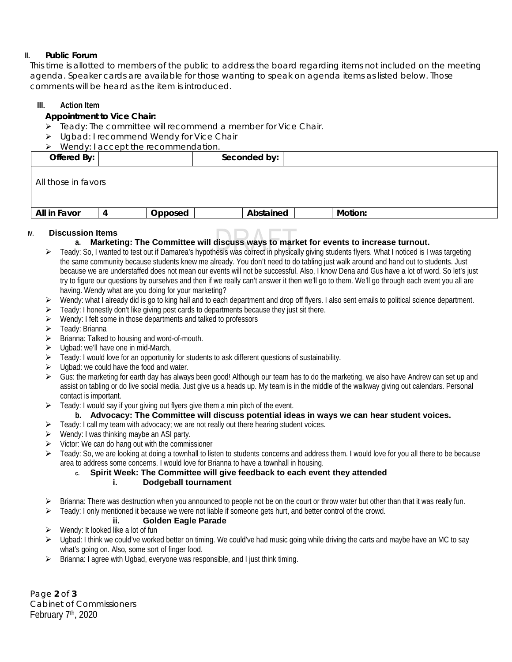#### **II. Public Forum**

This time is allotted to members of the public to address the board regarding items not included on the meeting agenda. Speaker cards are available for those wanting to speak on agenda items as listed below. Those comments will be heard as the item is introduced.

#### **III. Action Item**

#### **Appointment to Vice Chair:**

- $\triangleright$  Teady: The committee will recommend a member for Vice Chair.
- Ugbad: I recommend Wendy for Vice Chair

|                     | Wendy: I accept the recommendation. |         |              |         |  |  |  |  |
|---------------------|-------------------------------------|---------|--------------|---------|--|--|--|--|
| Offered By:         |                                     |         | Seconded by: |         |  |  |  |  |
| All those in favors |                                     |         |              |         |  |  |  |  |
| All in Favor        |                                     | Opposed | Abstained    | Motion: |  |  |  |  |

# **IV. Discussion Items**

# **a. Marketing: The Committee will discuss ways to market for events to increase turnout.**

- ▶ Teady: So, I wanted to test out if Damarea's hypothesis was correct in physically giving students flyers. What I noticed is I was targeting the same community because students knew me already. You don't need to do tabling just walk around and hand out to students. Just because we are understaffed does not mean our events will not be successful. Also, I know Dena and Gus have a lot of word. So let's just try to figure our questions by ourselves and then if we really can't answer it then we'll go to them. We'll go through each event you all are having. Wendy what are you doing for your marketing?
- $\triangleright$  Wendy: what I already did is go to king hall and to each department and drop off flyers. I also sent emails to political science department.
- $\triangleright$  Teady: I honestly don't like giving post cards to departments because they just sit there.
- $\triangleright$  Wendy: I felt some in those departments and talked to professors
- $\triangleright$  Teady: Brianna
- $\triangleright$  Brianna: Talked to housing and word-of-mouth.
- $\triangleright$  Ugbad: we'll have one in mid-March,
- $\triangleright$  Teady: I would love for an opportunity for students to ask different questions of sustainability.
- $\triangleright$  Ugbad: we could have the food and water.
- $\triangleright$  Gus: the marketing for earth day has always been good! Although our team has to do the marketing, we also have Andrew can set up and assist on tabling or do live social media. Just give us a heads up. My team is in the middle of the walkway giving out calendars. Personal contact is important.
- $\triangleright$  Teady: I would say if your giving out flyers give them a min pitch of the event.

#### **b. Advocacy: The Committee will discuss potential ideas in ways we can hear student voices.**

- $\triangleright$  Teady: I call my team with advocacy; we are not really out there hearing student voices.
- $\triangleright$  Wendy: I was thinking maybe an ASI party.
- $\triangleright$  Victor: We can do hang out with the commissioner
- $\triangleright$  Teady: So, we are looking at doing a townhall to listen to students concerns and address them. I would love for you all there to be because area to address some concerns. I would love for Brianna to have a townhall in housing.

# **c. Spirit Week: The Committee will give feedback to each event they attended**

#### **i. Dodgeball tournament**

- $\triangleright$  Brianna: There was destruction when you announced to people not be on the court or throw water but other than that it was really fun.
- $\triangleright$  Teady: I only mentioned it because we were not liable if someone gets hurt, and better control of the crowd.

#### **ii. Golden Eagle Parade**

- Wendy: It looked like a lot of fun
- $\triangleright$  Ugbad: I think we could've worked better on timing. We could've had music going while driving the carts and maybe have an MC to say what's going on. Also, some sort of finger food.
- $\triangleright$  Brianna: I agree with Ugbad, everyone was responsible, and I just think timing.

Page **2** of **3** Cabinet of Commissioners February 7<sup>th</sup>, 2020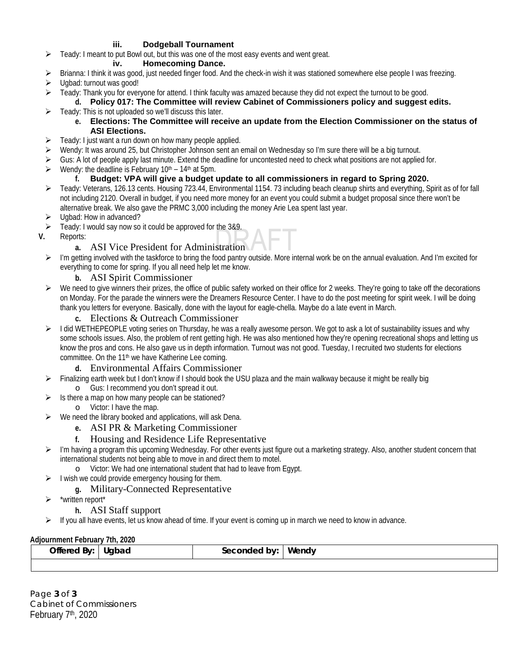#### **iii. Dodgeball Tournament**

Teady: I meant to put Bowl out, but this was one of the most easy events and went great.

#### **iv. Homecoming Dance.**

- Brianna: I think it was good, just needed finger food. And the check-in wish it was stationed somewhere else people I was freezing.
- Ugbad: turnout was good!
- $\triangleright$  Teady: Thank you for everyone for attend. I think faculty was amazed because they did not expect the turnout to be good.

# **d. Policy 017: The Committee will review Cabinet of Commissioners policy and suggest edits.**

 $\triangleright$  Teady: This is not uploaded so we'll discuss this later.

#### **e. Elections: The Committee will receive an update from the Election Commissioner on the status of ASI Elections.**

- $\triangleright$  Teady: I just want a run down on how many people applied.
- Wendy: It was around 25, but Christopher Johnson sent an email on Wednesday so I'm sure there will be a big turnout.
- Gus: A lot of people apply last minute. Extend the deadline for uncontested need to check what positions are not applied for.
- $\triangleright$  Wendy: the deadline is February 10<sup>th</sup> 14<sup>th</sup> at 5pm.

# **f. Budget: VPA will give a budget update to all commissioners in regard to Spring 2020.**

- Feady: Veterans, 126.13 cents. Housing 723.44, Environmental 1154. 73 including beach cleanup shirts and everything, Spirit as of for fall not including 2120. Overall in budget, if you need more money for an event you could submit a budget proposal since there won't be alternative break. We also gave the PRMC 3,000 including the money Arie Lea spent last year.
- ▶ Ugbad: How in advanced?
- Teady: I would say now so it could be approved for the 3&9.
- **V.** Reports:

# **a.** ASI Vice President for Administration

 $\triangleright$  I'm getting involved with the taskforce to bring the food pantry outside. More internal work be on the annual evaluation. And I'm excited for everything to come for spring. If you all need help let me know.

# **b.** ASI Spirit Commissioner

We need to give winners their prizes, the office of public safety worked on their office for 2 weeks. They're going to take off the decorations on Monday. For the parade the winners were the Dreamers Resource Center. I have to do the post meeting for spirit week. I will be doing thank you letters for everyone. Basically, done with the layout for eagle-chella. Maybe do a late event in March.

# **c.** Elections & Outreach Commissioner

- $\triangleright$  I did WETHEPEOPLE voting series on Thursday, he was a really awesome person. We got to ask a lot of sustainability issues and why some schools issues. Also, the problem of rent getting high. He was also mentioned how they're opening recreational shops and letting us know the pros and cons. He also gave us in depth information. Turnout was not good. Tuesday, I recruited two students for elections committee. On the 11<sup>th</sup> we have Katherine Lee coming.
	- **d.** Environmental Affairs Commissioner
- $\triangleright$  Finalizing earth week but I don't know if I should book the USU plaza and the main walkway because it might be really big o Gus: I recommend you don't spread it out.
- Is there a map on how many people can be stationed?
	- o Victor: I have the map.
- We need the library booked and applications, will ask Dena.
	- **e.** ASI PR & Marketing Commissioner

# **f.** Housing and Residence Life Representative

- $\triangleright$  I'm having a program this upcoming Wednesday. For other events just figure out a marketing strategy. Also, another student concern that international students not being able to move in and direct them to motel.
	- o Victor: We had one international student that had to leave from Egypt.
- $\triangleright$  I wish we could provide emergency housing for them.

# **g.** Military-Connected Representative

- \*written report\*
	- **h.** ASI Staff support
- If you all have events, let us know ahead of time. If your event is coming up in march we need to know in advance.

#### **Adjournment February 7th, 2020**

|  |  | Offered By: | Ugbad | seconded<br>hv | Wendv |
|--|--|-------------|-------|----------------|-------|
|--|--|-------------|-------|----------------|-------|

Page **3** of **3** Cabinet of Commissioners February 7<sup>th</sup>, 2020